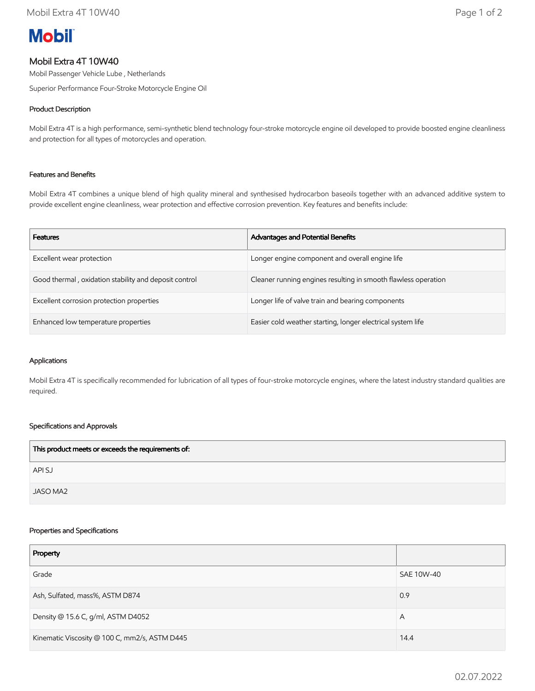# **Mobil**

# Mobil Extra 4T 10W40

Mobil Passenger Vehicle Lube , Netherlands

Superior Performance Four-Stroke Motorcycle Engine Oil

# Product Description

Mobil Extra 4T is a high performance, semi-synthetic blend technology four-stroke motorcycle engine oil developed to provide boosted engine cleanliness and protection for all types of motorcycles and operation.

## Features and Benefits

Mobil Extra 4T combines a unique blend of high quality mineral and synthesised hydrocarbon baseoils together with an advanced additive system to provide excellent engine cleanliness, wear protection and effective corrosion prevention. Key features and benefits include:

| <b>Features</b>                                       | <b>Advantages and Potential Benefits</b>                       |
|-------------------------------------------------------|----------------------------------------------------------------|
| Excellent wear protection                             | Longer engine component and overall engine life                |
| Good thermal, oxidation stability and deposit control | Cleaner running engines resulting in smooth flawless operation |
| Excellent corrosion protection properties             | Longer life of valve train and bearing components              |
| Enhanced low temperature properties                   | Easier cold weather starting, longer electrical system life    |

#### Applications

Mobil Extra 4T is specifically recommended for lubrication of all types of four-stroke motorcycle engines, where the latest industry standard qualities are required.

## Specifications and Approvals

| This product meets or exceeds the requirements of: |  |
|----------------------------------------------------|--|
| API SJ                                             |  |
| JASO MA2                                           |  |

#### Properties and Specifications

| Property                                      |            |
|-----------------------------------------------|------------|
| Grade                                         | SAE 10W-40 |
| Ash, Sulfated, mass%, ASTM D874               | 0.9        |
| Density @ 15.6 C, g/ml, ASTM D4052            | A          |
| Kinematic Viscosity @ 100 C, mm2/s, ASTM D445 | 14.4       |